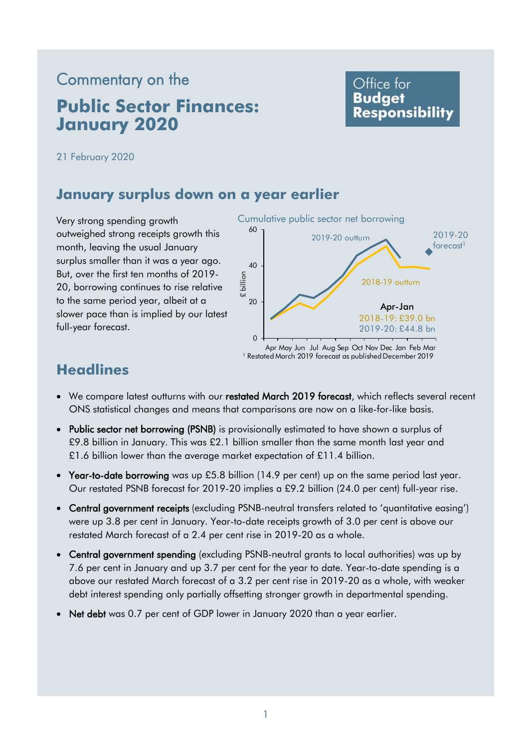# Commentary on the **Public Sector Finances: January 2020**

# Office for **Budget Responsibility**

21 February 2020

# **January surplus down on a year earlier**

Very strong spending growth outweighed strong receipts growth this month, leaving the usual January surplus smaller than it was a year ago. But, over the first ten months of 2019- 20, borrowing continues to rise relative to the same period year, albeit at a slower pace than is implied by our latest full-year forecast.



<sup>1</sup> Restated March 2019 forecast as published December 2019

# **Headlines**

- We compare latest outturns with our restated March 2019 forecast, which reflects several recent ONS statistical changes and means that comparisons are now on a like-for-like basis.
- Public sector net borrowing (PSNB) is provisionally estimated to have shown a surplus of £9.8 billion in January. This was £2.1 billion smaller than the same month last year and £1.6 billion lower than the average market expectation of £11.4 billion.
- Year-to-date borrowing was up £5.8 billion (14.9 per cent) up on the same period last year. Our restated PSNB forecast for 2019-20 implies a £9.2 billion (24.0 per cent) full-year rise.
- Central government receipts (excluding PSNB-neutral transfers related to 'quantitative easing') were up 3.8 per cent in January. Year-to-date receipts growth of 3.0 per cent is above our restated March forecast of a 2.4 per cent rise in 2019-20 as a whole.
- Central government spending (excluding PSNB-neutral grants to local authorities) was up by 7.6 per cent in January and up 3.7 per cent for the year to date. Year-to-date spending is a above our restated March forecast of a 3.2 per cent rise in 2019-20 as a whole, with weaker debt interest spending only partially offsetting stronger growth in departmental spending.
- Net debt was 0.7 per cent of GDP lower in January 2020 than a year earlier.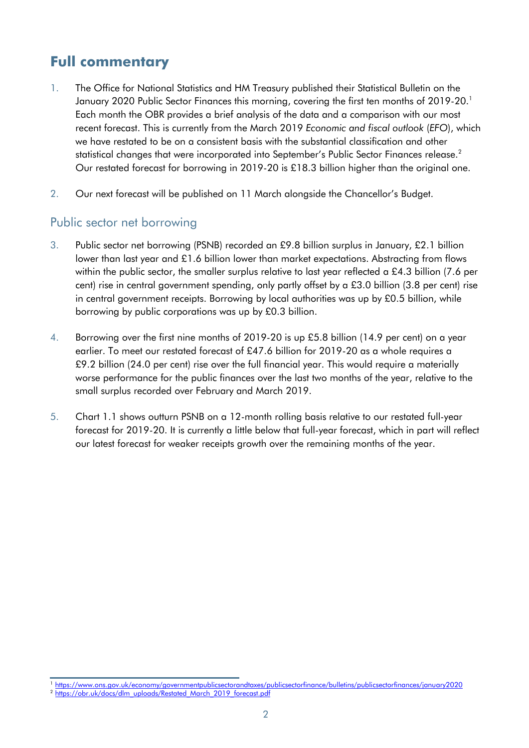# **Full commentary**

- 1. The Office for National Statistics and HM Treasury published their Statistical Bulletin on the January 2020 Public Sector Finances this morning, covering the first ten months of 2019-20. 1 Each month the OBR provides a brief analysis of the data and a comparison with our most recent forecast. This is currently from the March 2019 *Economic and fiscal outlook* (*EFO*), which we have restated to be on a consistent basis with the substantial classification and other statistical changes that were incorporated into September's Public Sector Finances release. 2 Our restated forecast for borrowing in 2019-20 is £18.3 billion higher than the original one.
- 2. Our next forecast will be published on 11 March alongside the Chancellor's Budget.

#### Public sector net borrowing

- 3. Public sector net borrowing (PSNB) recorded an £9.8 billion surplus in January, £2.1 billion lower than last year and £1.6 billion lower than market expectations. Abstracting from flows within the public sector, the smaller surplus relative to last year reflected a £4.3 billion (7.6 per cent) rise in central government spending, only partly offset by a £3.0 billion (3.8 per cent) rise in central government receipts. Borrowing by local authorities was up by  $£0.5$  billion, while borrowing by public corporations was up by £0.3 billion.
- 4. Borrowing over the first nine months of 2019-20 is up £5.8 billion (14.9 per cent) on a year earlier. To meet our restated forecast of £47.6 billion for 2019-20 as a whole requires a £9.2 billion (24.0 per cent) rise over the full financial year. This would require a materially worse performance for the public finances over the last two months of the year, relative to the small surplus recorded over February and March 2019.
- 5. Chart 1.1 shows outturn PSNB on a 12-month rolling basis relative to our restated full-year forecast for 2019-20. It is currently a little below that full-year forecast, which in part will reflect our latest forecast for weaker receipts growth over the remaining months of the year.

<sup>1</sup> <https://www.ons.gov.uk/economy/governmentpublicsectorandtaxes/publicsectorfinance/bulletins/publicsectorfinances/january2020>

<sup>&</sup>lt;sup>2</sup> [https://obr.uk/docs/dlm\\_uploads/Restated\\_March\\_2019\\_forecast.pdf](https://obr.uk/docs/dlm_uploads/Restated_March_2019_forecast.pdf)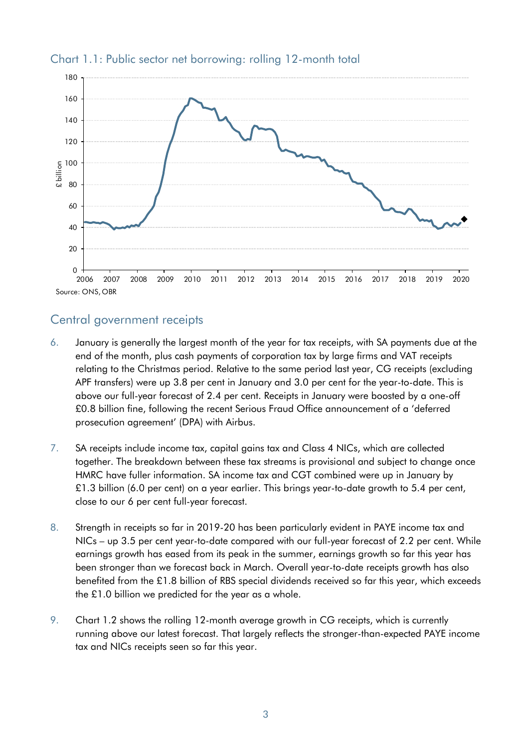

#### Chart 1.1: Public sector net borrowing: rolling 12-month total

### Central government receipts

- 6. January is generally the largest month of the year for tax receipts, with SA payments due at the end of the month, plus cash payments of corporation tax by large firms and VAT receipts relating to the Christmas period. Relative to the same period last year, CG receipts (excluding APF transfers) were up 3.8 per cent in January and 3.0 per cent for the year-to-date. This is above our full-year forecast of 2.4 per cent. Receipts in January were boosted by a one-off £0.8 billion fine, following the recent Serious Fraud Office announcement of a 'deferred prosecution agreement' (DPA) with Airbus.
- 7. SA receipts include income tax, capital gains tax and Class 4 NICs, which are collected together. The breakdown between these tax streams is provisional and subject to change once HMRC have fuller information. SA income tax and CGT combined were up in January by £1.3 billion (6.0 per cent) on a year earlier. This brings year-to-date growth to 5.4 per cent, close to our 6 per cent full-year forecast.
- 8. Strength in receipts so far in 2019-20 has been particularly evident in PAYE income tax and NICs – up 3.5 per cent year-to-date compared with our full-year forecast of 2.2 per cent. While earnings growth has eased from its peak in the summer, earnings growth so far this year has been stronger than we forecast back in March. Overall year-to-date receipts growth has also benefited from the £1.8 billion of RBS special dividends received so far this year, which exceeds the £1.0 billion we predicted for the year as a whole.
- 9. Chart 1.2 shows the rolling 12-month average growth in CG receipts, which is currently running above our latest forecast. That largely reflects the stronger-than-expected PAYE income tax and NICs receipts seen so far this year.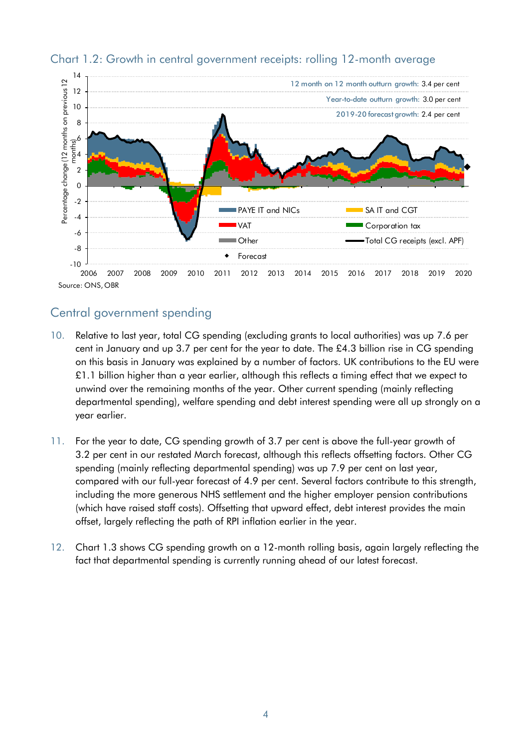

#### Chart 1.2: Growth in central government receipts: rolling 12-month average

# Central government spending

- 10. Relative to last year, total CG spending (excluding grants to local authorities) was up 7.6 per cent in January and up 3.7 per cent for the year to date. The £4.3 billion rise in CG spending on this basis in January was explained by a number of factors. UK contributions to the EU were  $£1.1$  billion higher than a year earlier, although this reflects a timing effect that we expect to unwind over the remaining months of the year. Other current spending (mainly reflecting departmental spending), welfare spending and debt interest spending were all up strongly on a year earlier.
- 11. For the year to date, CG spending growth of 3.7 per cent is above the full-year growth of 3.2 per cent in our restated March forecast, although this reflects offsetting factors. Other CG spending (mainly reflecting departmental spending) was up 7.9 per cent on last year, compared with our full-year forecast of 4.9 per cent. Several factors contribute to this strength, including the more generous NHS settlement and the higher employer pension contributions (which have raised staff costs). Offsetting that upward effect, debt interest provides the main offset, largely reflecting the path of RPI inflation earlier in the year.
- 12. Chart 1.3 shows CG spending growth on a 12-month rolling basis, again largely reflecting the fact that departmental spending is currently running ahead of our latest forecast.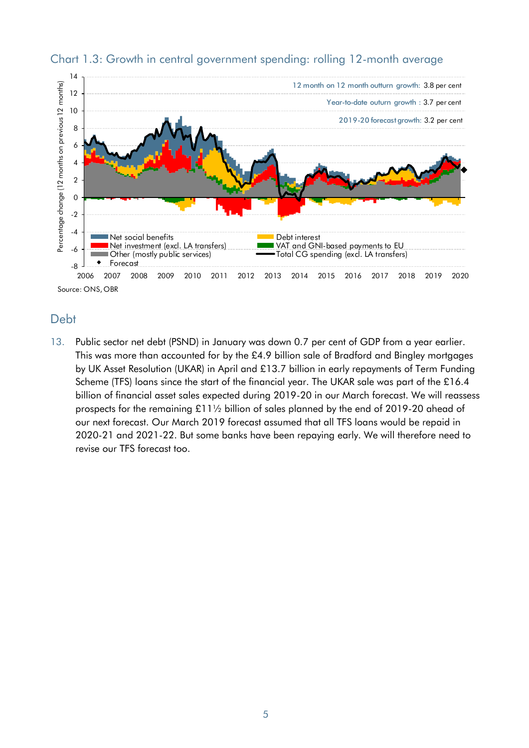

#### Chart 1.3: Growth in central government spending: rolling 12-month average

# Debt

13. Public sector net debt (PSND) in January was down 0.7 per cent of GDP from a year earlier. This was more than accounted for by the £4.9 billion sale of Bradford and Bingley mortgages by UK Asset Resolution (UKAR) in April and £13.7 billion in early repayments of Term Funding Scheme (TFS) loans since the start of the financial year. The UKAR sale was part of the £16.4 billion of financial asset sales expected during 2019-20 in our March forecast. We will reassess prospects for the remaining £11½ billion of sales planned by the end of 2019-20 ahead of our next forecast. Our March 2019 forecast assumed that all TFS loans would be repaid in 2020-21 and 2021-22. But some banks have been repaying early. We will therefore need to revise our TFS forecast too.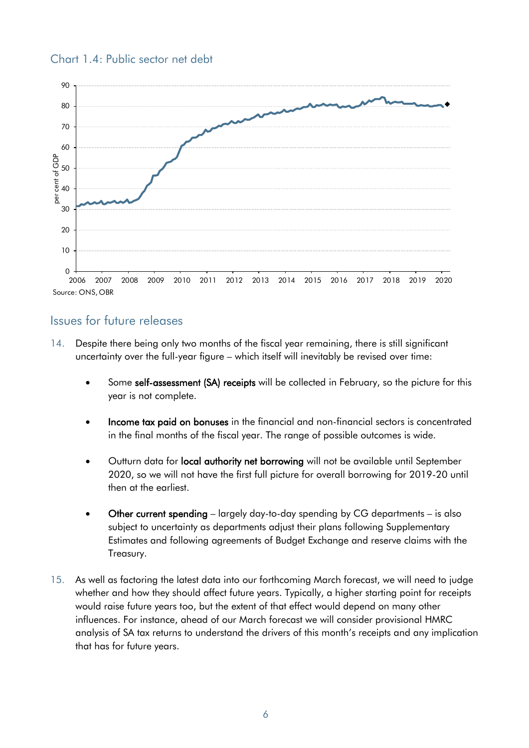

#### Chart 1.4: Public sector net debt

#### Issues for future releases

- 14. Despite there being only two months of the fiscal year remaining, there is still significant uncertainty over the full-year figure – which itself will inevitably be revised over time:
	- Some self-assessment (SA) receipts will be collected in February, so the picture for this year is not complete.
	- Income tax paid on bonuses in the financial and non-financial sectors is concentrated in the final months of the fiscal year. The range of possible outcomes is wide.
	- Outturn data for local authority net borrowing will not be available until September 2020, so we will not have the first full picture for overall borrowing for 2019-20 until then at the earliest.
	- Other current spending largely day-to-day spending by CG departments is also subject to uncertainty as departments adjust their plans following Supplementary Estimates and following agreements of Budget Exchange and reserve claims with the Treasury.
- 15. As well as factoring the latest data into our forthcoming March forecast, we will need to judge whether and how they should affect future years. Typically, a higher starting point for receipts would raise future years too, but the extent of that effect would depend on many other influences. For instance, ahead of our March forecast we will consider provisional HMRC analysis of SA tax returns to understand the drivers of this month's receipts and any implication that has for future years.